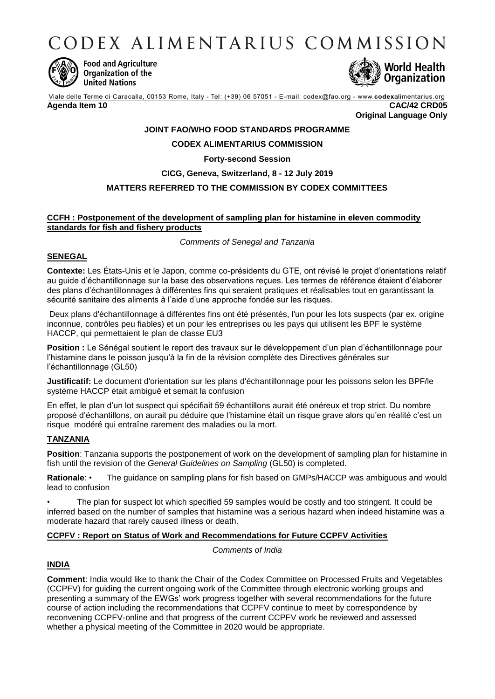CODEX ALIMENTARIUS COMMISSION



**Food and Agriculture** Organization of the **United Nations** 



Viale delle Terme di Caracalla, 00153 Rome, Italy - Tel: (+39) 06 57051 - E-mail: codex@fao.org - www.codexalimentarius.org **Agenda Item 10 CAC/42 CRD05**

**Original Language Only**

# **JOINT FAO/WHO FOOD STANDARDS PROGRAMME**

## **CODEX ALIMENTARIUS COMMISSION**

## **Forty-second Session**

## **CICG, Geneva, Switzerland, 8 - 12 July 2019**

# **MATTERS REFERRED TO THE COMMISSION BY CODEX COMMITTEES**

#### **CCFH : Postponement of the development of sampling plan for histamine in eleven commodity standards for fish and fishery products**

*Comments of Senegal and Tanzania*

#### **SENEGAL**

**Contexte:** Les États-Unis et le Japon, comme co-présidents du GTE, ont révisé le projet d'orientations relatif au guide d'échantillonnage sur la base des observations reçues. Les termes de référence étaient d'élaborer des plans d'échantillonnages à différentes fins qui seraient pratiques et réalisables tout en garantissant la sécurité sanitaire des aliments à l'aide d'une approche fondée sur les risques.

Deux plans d'échantillonnage à différentes fins ont été présentés, l'un pour les lots suspects (par ex. origine inconnue, contrôles peu fiables) et un pour les entreprises ou les pays qui utilisent les BPF le système HACCP, qui permettaient le plan de classe EU3

Position : Le Sénégal soutient le report des travaux sur le développement d'un plan d'échantillonnage pour l'histamine dans le poisson jusqu'à la fin de la révision complète des Directives générales sur l'échantillonnage (GL50)

**Justificatif:** Le document d'orientation sur les plans d'échantillonnage pour les poissons selon les BPF/le système HACCP était ambiguë et semait la confusion

En effet, le plan d'un lot suspect qui spécifiait 59 échantillons aurait été onéreux et trop strict. Du nombre proposé d'échantillons, on aurait pu déduire que l'histamine était un risque grave alors qu'en réalité c'est un risque modéré qui entraîne rarement des maladies ou la mort.

## **TANZANIA**

**Position**: Tanzania supports the postponement of work on the development of sampling plan for histamine in fish until the revision of the *General Guidelines on Sampling* (GL50) is completed.

**Rationale**: • The guidance on sampling plans for fish based on GMPs/HACCP was ambiguous and would lead to confusion

• The plan for suspect lot which specified 59 samples would be costly and too stringent. It could be inferred based on the number of samples that histamine was a serious hazard when indeed histamine was a moderate hazard that rarely caused illness or death.

## **CCPFV : Report on Status of Work and Recommendations for Future CCPFV Activities**

*Comments of India*

## **INDIA**

**Comment**: India would like to thank the Chair of the Codex Committee on Processed Fruits and Vegetables (CCPFV) for guiding the current ongoing work of the Committee through electronic working groups and presenting a summary of the EWGs' work progress together with several recommendations for the future course of action including the recommendations that CCPFV continue to meet by correspondence by reconvening CCPFV-online and that progress of the current CCPFV work be reviewed and assessed whether a physical meeting of the Committee in 2020 would be appropriate.